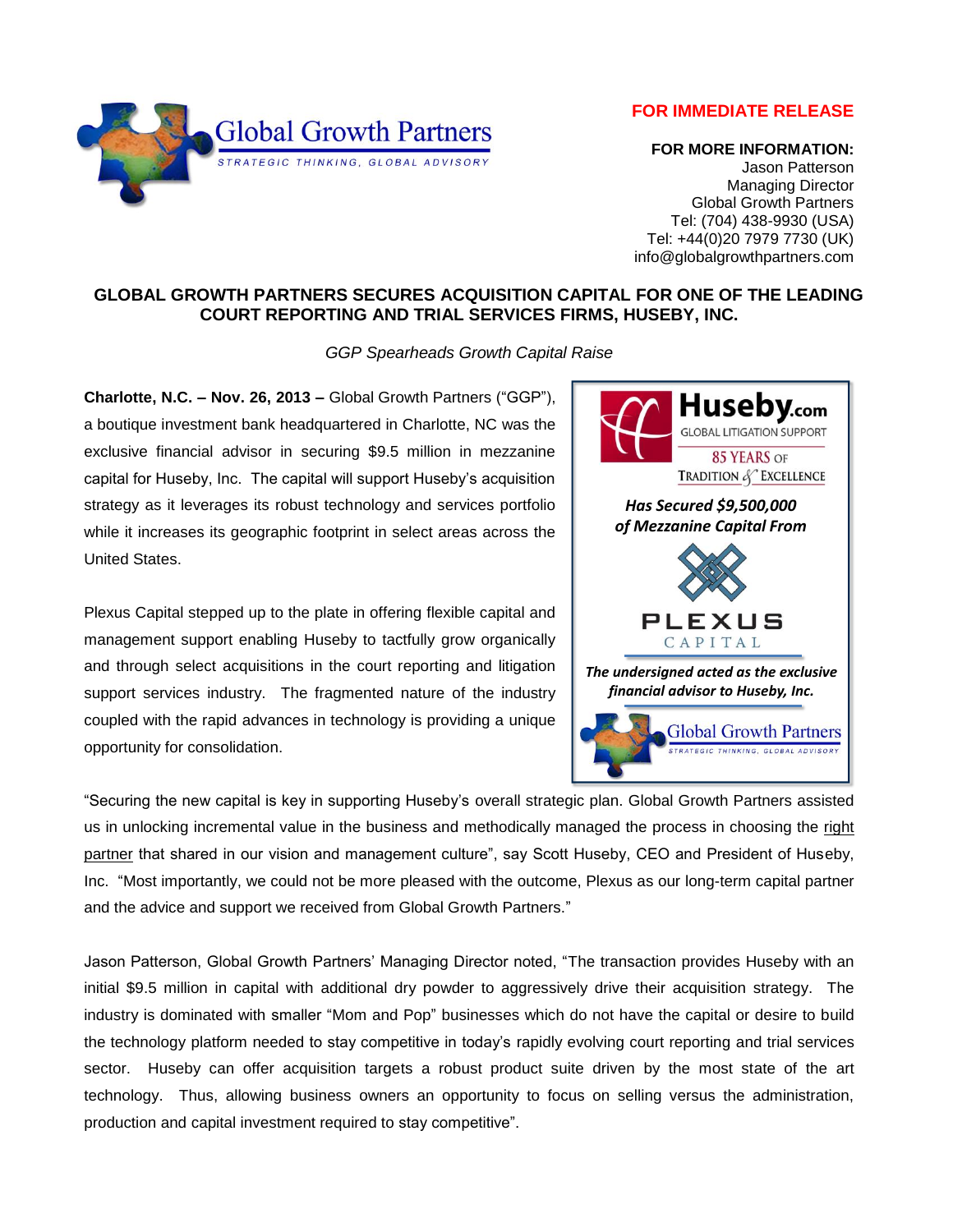## **FOR IMMEDIATE RELEASE**



 **FOR MORE INFORMATION:** Jason Patterson Managing Director Global Growth Partners Tel: (704) 438-9930 (USA) Tel: +44(0)20 7979 7730 (UK) info@globalgrowthpartners.com

## **GLOBAL GROWTH PARTNERS SECURES ACQUISITION CAPITAL FOR ONE OF THE LEADING COURT REPORTING AND TRIAL SERVICES FIRMS, HUSEBY, INC.**

*GGP Spearheads Growth Capital Raise*

**Charlotte, N.C. – Nov. 26, 2013 –** Global Growth Partners ("GGP"), a boutique investment bank headquartered in Charlotte, NC was the exclusive financial advisor in securing \$9.5 million in mezzanine capital for Huseby, Inc. The capital will support Huseby's acquisition strategy as it leverages its robust technology and services portfolio while it increases its geographic footprint in select areas across the United States.

Plexus Capital stepped up to the plate in offering flexible capital and management support enabling Huseby to tactfully grow organically and through select acquisitions in the court reporting and litigation support services industry. The fragmented nature of the industry coupled with the rapid advances in technology is providing a unique opportunity for consolidation.



"Securing the new capital is key in supporting Huseby's overall strategic plan. Global Growth Partners assisted us in unlocking incremental value in the business and methodically managed the process in choosing the right partner that shared in our vision and management culture", say Scott Huseby, CEO and President of Huseby, Inc. "Most importantly, we could not be more pleased with the outcome, Plexus as our long-term capital partner and the advice and support we received from Global Growth Partners."

Jason Patterson, Global Growth Partners' Managing Director noted, "The transaction provides Huseby with an initial \$9.5 million in capital with additional dry powder to aggressively drive their acquisition strategy. The industry is dominated with smaller "Mom and Pop" businesses which do not have the capital or desire to build the technology platform needed to stay competitive in today's rapidly evolving court reporting and trial services sector. Huseby can offer acquisition targets a robust product suite driven by the most state of the art technology. Thus, allowing business owners an opportunity to focus on selling versus the administration, production and capital investment required to stay competitive".